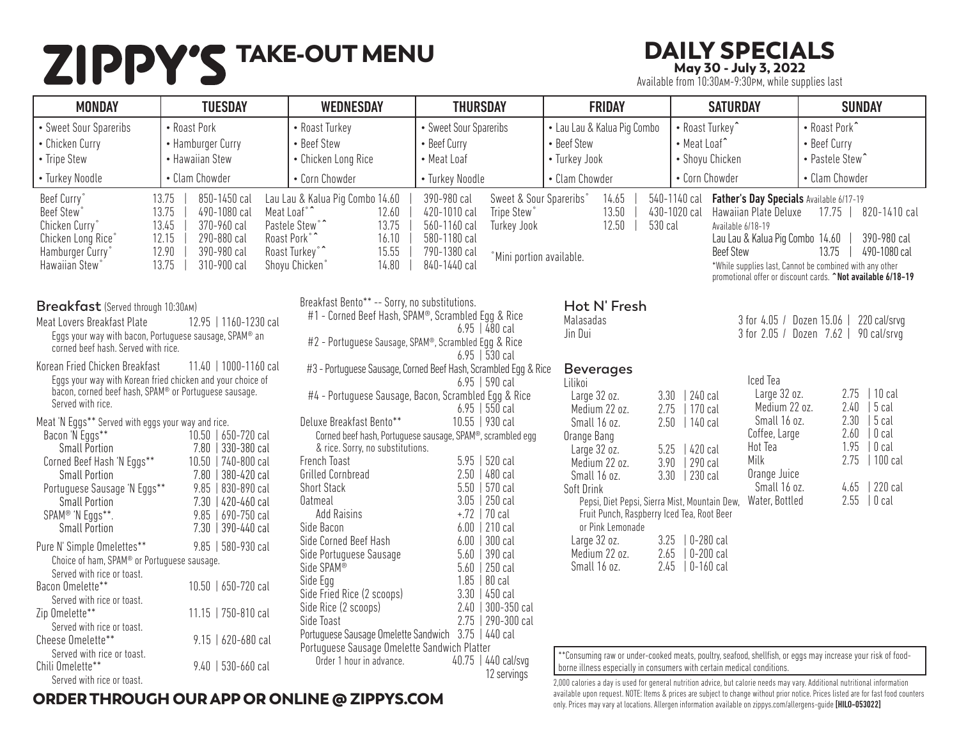# TAKE-OUT MENU DAILY SPECIALS

May 30 - July 3, 2022

Available from 10:30am-9:30pm, while supplies last

| <b>MONDAY</b>                                                                                                                                                              | <b>TUESDAY</b>                                                                                                                                 | <b>WEDNESDAY</b>                                                                                                                                                           | <b>THURSDAY</b>                                                                                                                                                                                     | <b>FRIDAY</b>                                                                                                                                 | <b>SATURDAY</b>                                                                                                                                                                                                                                                                                                    | <b>SUNDAY</b>                                                                                                                                                                           |
|----------------------------------------------------------------------------------------------------------------------------------------------------------------------------|------------------------------------------------------------------------------------------------------------------------------------------------|----------------------------------------------------------------------------------------------------------------------------------------------------------------------------|-----------------------------------------------------------------------------------------------------------------------------------------------------------------------------------------------------|-----------------------------------------------------------------------------------------------------------------------------------------------|--------------------------------------------------------------------------------------------------------------------------------------------------------------------------------------------------------------------------------------------------------------------------------------------------------------------|-----------------------------------------------------------------------------------------------------------------------------------------------------------------------------------------|
| • Sweet Sour Spareribs                                                                                                                                                     | • Roast Pork                                                                                                                                   | • Roast Turkey                                                                                                                                                             | • Sweet Sour Spareribs                                                                                                                                                                              | • Lau Lau & Kalua Pig Combo                                                                                                                   | • Roast Turkey^                                                                                                                                                                                                                                                                                                    | • Roast Pork^                                                                                                                                                                           |
| • Chicken Curry                                                                                                                                                            | • Hamburger Curry                                                                                                                              | • Beef Stew                                                                                                                                                                | • Beef Curry                                                                                                                                                                                        | • Beef Stew                                                                                                                                   | • Meat Loaf <sup>1</sup>                                                                                                                                                                                                                                                                                           | • Beef Curry                                                                                                                                                                            |
| • Tripe Stew                                                                                                                                                               | • Hawaiian Stew                                                                                                                                | • Chicken Long Rice                                                                                                                                                        | • Meat Loaf                                                                                                                                                                                         | • Turkey Jook                                                                                                                                 | • Shoyu Chicken                                                                                                                                                                                                                                                                                                    | • Pastele Stew <sup>^</sup>                                                                                                                                                             |
| • Turkey Noodle                                                                                                                                                            | • Clam Chowder                                                                                                                                 | • Corn Chowder                                                                                                                                                             | • Turkey Noodle                                                                                                                                                                                     | • Clam Chowder                                                                                                                                | • Corn Chowder                                                                                                                                                                                                                                                                                                     | • Clam Chowder                                                                                                                                                                          |
| Beef Curry <sup>°</sup><br><b>Beef Stew</b><br>Chicken Curry°<br>Chicken Long Rice <sup>®</sup><br>Hamburger Curry <sup>®</sup><br>Hawaiian Stew <sup>®</sup>              | 850-1450 cal<br>13.75<br>13.75<br>490-1080 cal<br>13.45<br>370-960 cal<br>12.15<br>290-880 cal<br>12.90<br>390-980 cal<br>13.75<br>310-900 cal | Lau Lau & Kalua Pig Combo 14.60<br>Meat Loaf <sup>°</sup><br>12.60<br>Pastele Stew°^<br>13.75<br>Roast Pork°<br>16.10<br>Roast Turkey°<br>15.55<br>Shoyu Chicken°<br>14.80 | 390-980 cal<br>Sweet & Sour Spareribs°<br>420-1010 cal<br>Tripe Stew <sup>o</sup><br>560-1160 cal<br><b>Turkey Jook</b><br>580-1180 cal<br>790-1380 cal<br>°Mini portion available.<br>840-1440 cal | 14.65<br>13.50<br>12.50<br>530 cal                                                                                                            | 540-1140 cal<br>Father's Day Specials Available 6/17-19<br>430-1020 cal<br>Hawaiian Plate Deluxe<br>Available 6/18-19<br>Lau Lau & Kalua Pig Combo 14.60<br><b>Beef Stew</b>                                                                                                                                       | 17.75<br>820-1410 cal<br>390-980 cal<br>13.75<br>490-1080 cal<br>*While supplies last, Cannot be combined with any other<br>promotional offer or discount cards. "Not available 6/18-19 |
| Breakfast (Served through 10:30AM)<br>Meat Lovers Breakfast Plate<br>Eggs your way with bacon, Portuguese sausage, SPAM® an<br>corned beef hash. Served with rice.         | 12.95   1160-1230 cal                                                                                                                          | Breakfast Bento** -- Sorry, no substitutions.                                                                                                                              | #1 - Corned Beef Hash, SPAM®, Scrambled Egg & Rice<br>$6.95$   480 cal<br>#2 - Portuguese Sausage, SPAM®, Scrambled Egg & Rice<br>$6.95$   530 cal                                                  | Hot N' Fresh<br>Malasadas<br>Jin Dui                                                                                                          | 3 for 4.05 / Dozen 15.06                                                                                                                                                                                                                                                                                           | 220 cal/srvg<br>3 for 2.05 / Dozen 7.62   90 cal/srvg                                                                                                                                   |
| Korean Fried Chicken Breakfast<br>Eggs your way with Korean fried chicken and your choice of<br>bacon, corned beef hash, SPAM® or Portuguese sausage.<br>Served with rice. | 11.40   1000-1160 cal                                                                                                                          |                                                                                                                                                                            | #3 - Portuguese Sausage, Corned Beef Hash, Scrambled Egg & Rice<br>$6.95$   590 cal<br>#4 - Portuguese Sausage, Bacon, Scrambled Egg & Rice<br>$6.95$   550 cal                                     | <b>Beverages</b><br>Lilikoi<br>Large 32 oz.<br>3.30<br>2.75                                                                                   | Iced Tea<br>Large 32 oz.<br>  240 cal<br>Medium 22 oz.                                                                                                                                                                                                                                                             | 2.75<br>$ 10$ cal<br>2.40<br>$ 5$ cal                                                                                                                                                   |
| Meat 'N Eggs** Served with eggs your way and rice.<br>Bacon 'N Eggs**<br><b>Small Portion</b><br>Corned Beef Hash 'N Eggs**                                                | 10.50   650-720 cal<br>7.80   330-380 cal<br>10.50   740-800 cal                                                                               | Deluxe Breakfast Bento**<br>& rice. Sorry, no substitutions.<br>French Toast                                                                                               | 10.55   930 cal<br>Corned beef hash, Portuguese sausage, SPAM®, scrambled egg<br>$5.95$   520 cal                                                                                                   | Medium 22 oz.<br>Small 16 oz.<br>2.50<br>Orange Bang<br>5.25<br>Large 32 oz.<br>3.90<br>Medium 22 oz.                                         | 170 cal<br>Small 16 oz.<br>$ 140$ cal<br>Coffee, Large<br>Hot Tea<br>  420 cal<br>Milk<br>  290 cal                                                                                                                                                                                                                | 2.30<br>$ 5$ cal<br>2.60<br>$ 0$ cal<br>1.95<br>$ 0$ cal<br>  100 cal<br>2.75                                                                                                           |
| <b>Small Portion</b><br>Portuguese Sausage 'N Eggs**<br><b>Small Portion</b><br>SPAM® 'N Eggs**.<br><b>Small Portion</b>                                                   | 7.80   380-420 cal<br>  830-890 cal<br>9.85<br>7.30   420-460 cal<br>9.85   690-750 cal<br>7.30   390-440 cal                                  | Grilled Cornbread<br><b>Short Stack</b><br><b>Oatmeal</b><br><b>Add Raisins</b><br>Side Bacon                                                                              | $2.50$   480 cal<br>5.50   570 cal<br>$3.05$   250 cal<br>$+.72$   70 cal<br>$6.00$   210 cal                                                                                                       | Small 16 oz.<br>Soft Drink<br>Pepsi, Diet Pepsi, Sierra Mist, Mountain Dew,<br>Fruit Punch, Raspberry Iced Tea, Root Beer<br>or Pink Lemonade | Orange Juice<br>3.30   230 cal<br>Small 16 oz.<br>Water, Bottled                                                                                                                                                                                                                                                   | 4.65<br>220 cal<br>2.55<br>$ 0$ cal                                                                                                                                                     |
| Pure N' Simple Omelettes**<br>Choice of ham, SPAM® or Portuguese sausage.<br>Served with rice or toast.                                                                    | 9.85   580-930 cal                                                                                                                             | Side Corned Beef Hash<br>Side Portuguese Sausage<br>Side SPAM <sup>®</sup>                                                                                                 | $6.00$   300 cal<br>$5.60$   390 cal<br>$5.60$   250 cal                                                                                                                                            | Large 32 oz.<br>Medium 22 oz.<br>2.65<br>2.45<br>Small 16 oz.                                                                                 | $3.25$   0-280 cal<br>$ 0-200$ cal<br>$  0-160$ cal                                                                                                                                                                                                                                                                |                                                                                                                                                                                         |
| Bacon Omelette**<br>Served with rice or toast.                                                                                                                             | 10.50   650-720 cal<br>11.15   750-810 cal                                                                                                     | Side Egg<br>Side Fried Rice (2 scoops)<br>Side Rice (2 scoops)                                                                                                             | $1.85$   80 cal<br>$3.30$   450 cal<br>2.40   300-350 cal                                                                                                                                           |                                                                                                                                               |                                                                                                                                                                                                                                                                                                                    |                                                                                                                                                                                         |
| Zip Omelette**<br>Served with rice or toast.<br>Cheese Omelette**                                                                                                          | $9.15   620 - 680$ cal                                                                                                                         | Side Toast<br>Portuguese Sausage Omelette Sandwich 3.75   440 cal<br>Portuguese Sausage Omelette Sandwich Platter                                                          | 2.75   290-300 cal                                                                                                                                                                                  |                                                                                                                                               |                                                                                                                                                                                                                                                                                                                    |                                                                                                                                                                                         |
| Served with rice or toast.<br>Chili Omelette**<br>Served with rice or toast.                                                                                               | 9.40   530-660 cal                                                                                                                             | Order 1 hour in advance.                                                                                                                                                   | 40.75   440 cal/svg<br>12 servings                                                                                                                                                                  |                                                                                                                                               | **Consuming raw or under-cooked meats, poultry, seafood, shellfish, or eggs may increase your risk of food-<br>borne illness especially in consumers with certain medical conditions.<br>2.000 calories a day is used for general nutrition advice, but calorie needs may vary. Additional nutritional information |                                                                                                                                                                                         |

#### ORDER THROUGH OUR APP OR ONLINE @ ZIPPYS.COM

2,000 calories a day is used for general nutrition advice, but calorie needs may vary. Additional nutritional information available upon request. NOTE: Items & prices are subject to change without prior notice. Prices listed are for fast food counters only. Prices may vary at locations. Allergen information available on zippys.com/allergens-guide [HILO-053022]